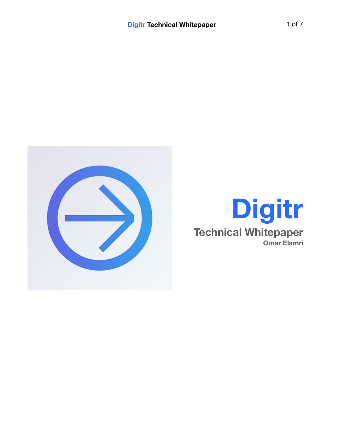

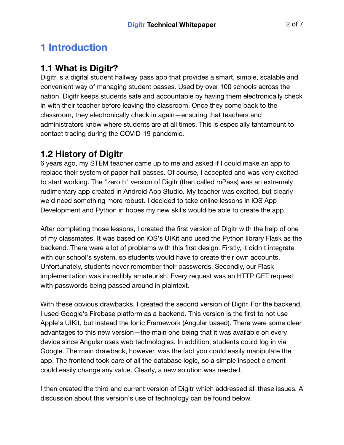# **1 Introduction**

### **1.1 What is Digitr?**

Digitr is a digital student hallway pass app that provides a smart, simple, scalable and convenient way of managing student passes. Used by over 100 schools across the nation, Digitr keeps students safe and accountable by having them electronically check in with their teacher before leaving the classroom. Once they come back to the classroom, they electronically check in again—ensuring that teachers and administrators know where students are at all times. This is especially tantamount to contact tracing during the COVID-19 pandemic.

### **1.2 History of Digitr**

6 years ago, my STEM teacher came up to me and asked if I could make an app to replace their system of paper hall passes. Of course, I accepted and was very excited to start working. The "zeroth" version of Digitr (then called mPass) was an extremely rudimentary app created in Android App Studio. My teacher was excited, but clearly we'd need something more robust. I decided to take online lessons in iOS App Development and Python in hopes my new skills would be able to create the app.

After completing those lessons, I created the first version of Digitr with the help of one of my classmates. It was based on iOS's UIKit and used the Python library Flask as the backend. There were a lot of problems with this first design. Firstly, it didn't integrate with our school's system, so students would have to create their own accounts. Unfortunately, students never remember their passwords. Secondly, our Flask implementation was incredibly amateurish. Every request was an HTTP GET request with passwords being passed around in plaintext.

With these obvious drawbacks, I created the second version of Digitr. For the backend, I used Google's Firebase platform as a backend. This version is the first to not use Apple's UIKit, but instead the Ionic Framework (Angular based). There were some clear advantages to this new version—the main one being that it was available on every device since Angular uses web technologies. In addition, students could log in via Google. The main drawback, however, was the fact you could easily manipulate the app. The frontend took care of all the database logic, so a simple inspect element could easily change any value. Clearly, a new solution was needed.

I then created the third and current version of Digitr which addressed all these issues. A discussion about this version's use of technology can be found below.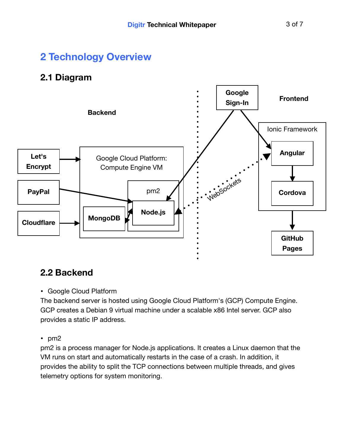# **2 Technology Overview**

### **2.1 Diagram**



## **2.2 Backend**

#### • Google Cloud Platform

The backend server is hosted using Google Cloud Platform's (GCP) Compute Engine. GCP creates a Debian 9 virtual machine under a scalable x86 Intel server. GCP also provides a static IP address.

• pm2

pm2 is a process manager for Node.js applications. It creates a Linux daemon that the VM runs on start and automatically restarts in the case of a crash. In addition, it provides the ability to split the TCP connections between multiple threads, and gives telemetry options for system monitoring.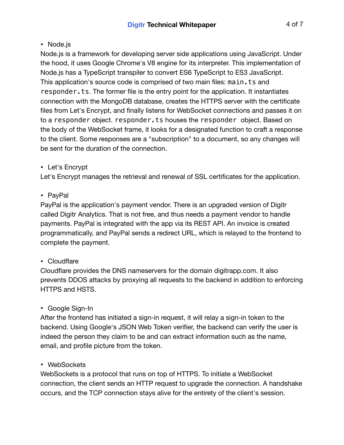#### • Node.js

Node.js is a framework for developing server side applications using JavaScript. Under the hood, it uses Google Chrome's V8 engine for its interpreter. This implementation of Node.js has a TypeScript transpiler to convert ES6 TypeScript to ES3 JavaScript. This application's source code is comprised of two main files: main.ts and responder.ts. The former file is the entry point for the application. It instantiates connection with the MongoDB database, creates the HTTPS server with the certificate files from Let's Encrypt, and finally listens for WebSocket connections and passes it on to a responder object. responder.ts houses the responder object. Based on the body of the WebSocket frame, it looks for a designated function to craft a response to the client. Some responses are a "subscription" to a document, so any changes will be sent for the duration of the connection.

#### • Let's Encrypt

Let's Encrypt manages the retrieval and renewal of SSL certificates for the application.

#### • PayPal

PayPal is the application's payment vendor. There is an upgraded version of Digitr called Digitr Analytics. That is not free, and thus needs a payment vendor to handle payments. PayPal is integrated with the app via its REST API. An invoice is created programmatically, and PayPal sends a redirect URL, which is relayed to the frontend to complete the payment.

#### • Cloudflare

Cloudflare provides the DNS nameservers for the domain digitrapp.com. It also prevents DDOS attacks by proxying all requests to the backend in addition to enforcing HTTPS and HSTS.

#### • Google Sign-In

After the frontend has initiated a sign-in request, it will relay a sign-in token to the backend. Using Google's JSON Web Token verifier, the backend can verify the user is indeed the person they claim to be and can extract information such as the name, email, and profile picture from the token.

#### • WebSockets

WebSockets is a protocol that runs on top of HTTPS. To initiate a WebSocket connection, the client sends an HTTP request to upgrade the connection. A handshake occurs, and the TCP connection stays alive for the entirety of the client's session.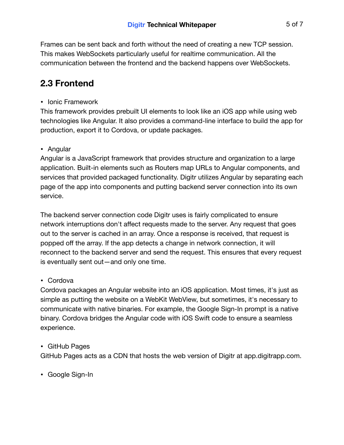Frames can be sent back and forth without the need of creating a new TCP session. This makes WebSockets particularly useful for realtime communication. All the communication between the frontend and the backend happens over WebSockets.

## **2.3 Frontend**

• Ionic Framework

This framework provides prebuilt UI elements to look like an iOS app while using web technologies like Angular. It also provides a command-line interface to build the app for production, export it to Cordova, or update packages.

#### • Angular

Angular is a JavaScript framework that provides structure and organization to a large application. Built-in elements such as Routers map URLs to Angular components, and services that provided packaged functionality. Digitr utilizes Angular by separating each page of the app into components and putting backend server connection into its own service.

The backend server connection code Digitr uses is fairly complicated to ensure network interruptions don't affect requests made to the server. Any request that goes out to the server is cached in an array. Once a response is received, that request is popped off the array. If the app detects a change in network connection, it will reconnect to the backend server and send the request. This ensures that every request is eventually sent out—and only one time.

#### • Cordova

Cordova packages an Angular website into an iOS application. Most times, it's just as simple as putting the website on a WebKit WebView, but sometimes, it's necessary to communicate with native binaries. For example, the Google Sign-In prompt is a native binary. Cordova bridges the Angular code with iOS Swift code to ensure a seamless experience.

#### • GitHub Pages

GitHub Pages acts as a CDN that hosts the web version of Digitr at app.digitrapp.com.

• Google Sign-In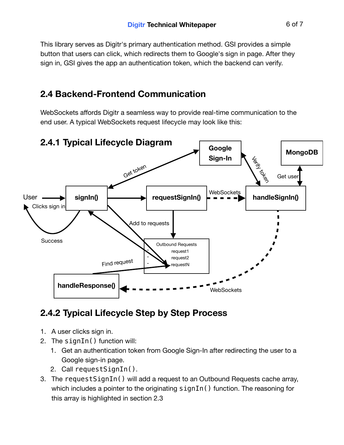This library serves as Digitr's primary authentication method. GSI provides a simple button that users can click, which redirects them to Google's sign in page. After they sign in, GSI gives the app an authentication token, which the backend can verify.

### **2.4 Backend-Frontend Communication**

WebSockets affords Digitr a seamless way to provide real-time communication to the end user. A typical WebSockets request lifecycle may look like this:



## **2.4.2 Typical Lifecycle Step by Step Process**

- 1. A user clicks sign in.
- 2. The signIn() function will:
	- 1. Get an authentication token from Google Sign-In after redirecting the user to a Google sign-in page.
	- 2. Call requestSignIn().
- 3. The requestSignIn() will add a request to an Outbound Requests cache array, which includes a pointer to the originating signIn() function. The reasoning for this array is highlighted in section 2.3